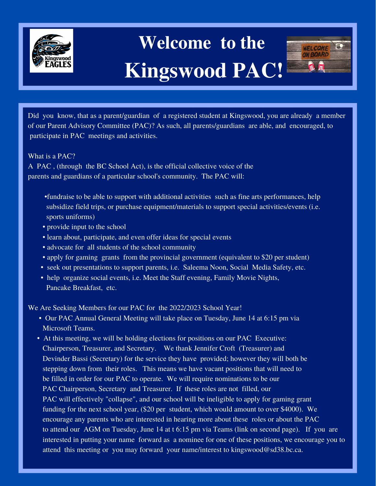

## **Welcome to the Kingswood PAC!**



Did you know, that as a parent/guardian of a registered student at Kingswood, you are already a member of our Parent Advisory Committee (PAC)? As such, all parents/guardians are able, and encouraged, to participate in PAC meetings and activities.

What is a PAC?

A PAC , (through the BC School Act), is the official collective voice of the parents and guardians of a particular school's community. The PAC will:

- •fundraise to be able to support with additional activities such as fine arts performances, help subsidize field trips, or purchase equipment/materials to support special activities/events (i.e. sports uniforms)
- provide input to the school
- learn about, participate, and even offer ideas for special events
- advocate for all students of the school community
- apply for gaming grants from the provincial government (equivalent to \$20 per student)
- seek out presentations to support parents, i.e. Saleema Noon, Social Media Safety, etc.
- help organize social events, i.e. Meet the Staff evening, Family Movie Nights, Pancake Breakfast, etc.

We Are Seeking Members for our PAC for the 2022/2023 School Year!

- Our PAC Annual General Meeting will take place on Tuesday, June 14 at 6:15 pm via Microsoft Teams.
- At this meeting, we will be holding elections for positions on our PAC Executive: Chairperson, Treasurer, and Secretary. We thank Jennifer Croft (Treasurer) and Devinder Bassi (Secretary) for the service they have provided; however they will both be stepping down from their roles. This means we have vacant positions that will need to be filled in order for our PAC to operate. We will require nominations to be our PAC Chairperson, Secretary and Treasurer. If these roles are not filled, our PAC will effectively "collapse", and our school will be ineligible to apply for gaming grant funding for the next school year, (\$20 per student, which would amount to over \$4000). We encourage any parents who are interested in hearing more about these roles or about the PAC to attend our AGM on Tuesday, June 14 at t 6:15 pm via Teams (link on second page). If you are interested in putting your name forward as a nominee for one of these positions, we encourage you to attend this meeting or you may forward your name/interest to kingswood@sd38.bc.ca.